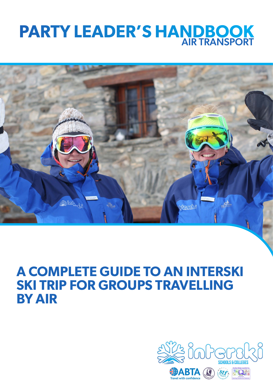# **PARTY LEADER'S HANDBOOK** AIR TRANSPORT



# **A COMPLETE GUIDE TO AN INTERSKI SKI TRIP FOR GROUPS TRAVELLING BY AIR**

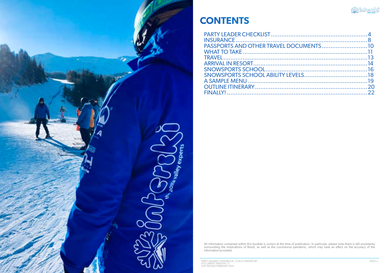

PARTY LEADERS' HANDBOOK, COACH TRANSPORT DOCUMENT VERSION 1.5 LAST REVISED FEBRUARY 2022

![](_page_1_Picture_5.jpeg)

# **CONTENTS**

All information contained within this booklet is correct at the time of publication. In particular, please note there is still uncertainty surrounding the implications of Brexit, as well as the coronavirus pandemic, which may have an effect on the accuracy of the information provided.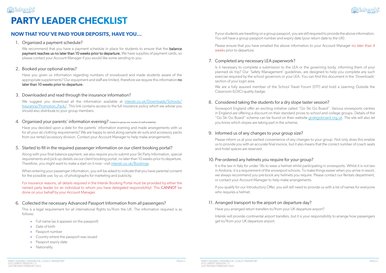# <u> 자</u>구 inherski **PARTY LEADER CHECKLIST**

![](_page_2_Picture_40.jpeg)

If your students are travelling on a group passport, you are still required to provide the above information.

Please ensure that you have emailed the above information to your Account Manager no later than 4 weeks prior to departure.

### 7. Completed any necessary LEA paperwork?

Is it necessary to complete a submission to the LEA or the governing body, informing them of your planned ski trip? Our 'Safety Management' guidelines, are designed to help you complete any such exercise required by the school governors or your LEA. You can find this document in the 'Downloads' section of your login area.

We are a fully assured member of the School Travel Forum (STF) and hold a Learning Outside the Classroom (LOtC) quality badge.

#### 8. Considered taking the students for a dry slope taster session?

Snowsport England offer an exciting initiative called "Go Ski Go Board". Various snowsports centres in England are offering a discount on their standard prices to school and college groups. Details of the "Go Ski Go Board" scheme can be found on their website goskigoboard.org.uk. The site will also let you know which slopes are taking part in the scheme.

We recommend that you have a payment schedule in place for students to ensure that the **balance** payment reaches us no later than 10 weeks prior to departure. We have supplies of payment cards, so please contact your Account Manager if you would like some sending to you.

#### 9. Informed us of any changes to your group size?

Please inform us at your earliest convenience of any changes to your group. Not only does this enable us to provide you with an accurate final invoice, but it also means that the correct number of coach seats and hotel spaces are reserved.

We suggest you download all the information available at interski.co.uk/Downloads/Schools/ Insurance/Promotion\_Pack/. This link contains access to the full insurance policy which we advise you should also distribute to your group members.

### 10. Pre-ordered any helmets you require for your group?

It is the law in Italy for under 18s to wear a helmet whilst participating in snowsports. Whilst it is not law in Andorra, it is a requirement of the snowsport schools. To make things easier when you arrive in resort, we always recommend you pre-book any helmets you require. Please contact our Rentals department, or contact your Account Manager to help make arrangements.

If you qualify for our Introductory Offer, you will still need to provide us with a list of names for everyone who requires a helmet.

### 11. Arranged transport to the airport on departure day?

Have you arranged return transfers to/from your UK departure airport?

Interski will provide continental airport transfers, but it is your responsibility to arrange how passengers get to/from your UK departure airport.

# **NOW THAT YOU'VE PAID YOUR DEPOSITS, HAVE YOU...**

#### 1. Organised a payment schedule?

#### 2. Booked your optional extras?

Have you given us information regarding numbers of snowboard and made students aware of the appropriate supplements? Our equipment and staff are limited, therefore we require this information no later than 10 weeks prior to departure.

#### 3. Downloaded and read through the insurance information?

#### 4. Organised your parents' information evening? (Subject to group size, location & staff availability)

Have you decided upon a date for the parents' information evening and made arrangements with us for all your ski clothing requirements? We are happy to send along sample ski suits and accessory packs from our rental/accessory division. Contact your Account Manager to help make arrangements.

#### 5. Started to fill in the required passenger information on our client booking portal?

Along with your final balance payment, we also require you to submit your Ski Party Information, special requirements and pick-up details via our client booking portal, no later than 10 weeks prior to departure. Therefore, you might want to make a start on it now - visit interski.co.uk/Bookings.

When entering your passenger information, you will be asked to indicate that you have parental consent for the possible use, by us, of photographs for marketing and publicity.

For insurance reasons, all details required in the Interski Booking Portal must be provided by either the named party leader (or an individual to whom you have delegated responsibility). This CANNOT be done on your behalf by your Account Manager.

#### 6. Collected the necessary Advanced Passport Information from all passengers?

This is a legal requirement for all international flights to/from the UK. The information required is as follows:

- » Full name (as it appears on the passport)
- » Date of birth
- » Passport number
- » Country where the passport was issued
- » Passport expiry date
- » Nationality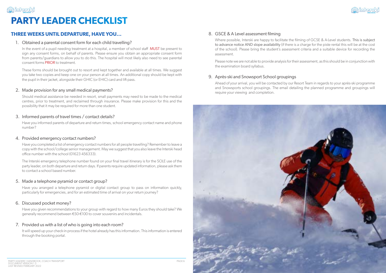![](_page_3_Picture_26.jpeg)

![](_page_3_Picture_23.jpeg)

# **PARTY LEADER CHECKLIST**

<u>부분 interski</u>

# **THREE WEEKS UNTIL DEPARTURE, HAVE YOU...**

#### 1. Obtained a parental consent form for each child travelling?

In the event of a pupil needing treatment at a hospital, a member of school staff **MUST** be present to sign any consent forms, on behalf of parents. Please ensure you obtain an appropriate consent form from parents/guardians to allow you to do this. The hospital will most likely also need to see parental consent forms PRIOR to treatment.

These forms should be brought out to resort and kept together and available at all times. We suggest you take two copies and keep one on your person at all times. An additional copy should be kept with the pupil in their jacket, alongside their GHIC (or EHIC) card and lift pass.

#### 2. Made provision for any small medical payments?

Should medical assistance be needed in resort, small payments may need to be made to the medical centres, prior to treatment, and reclaimed through insurance. Please make provision for this and the possibility that it may be required for more than one student.

### 3. Informed parents of travel times / contact details?

Have you informed parents of departure and return times, school emergency contact name and phone number?

#### 4. Provided emergency contact numbers?

Where possible, Interski are happy to facilitate the filming of GCSE & A-Level students. This is subject to advance notice AND slope availability (if there is a charge for the piste rental this will be at the cost of the school). Please bring the student's assessment criteria and a suitable device for recording the assessment.

Have you completed a list of emergency contact numbers for all people travelling? Remember to leave a copy with the school/college senior management. May we suggest that you also leave the Interski head office number with the school (01623 456333).

The Interski emergency telephone number found on your final travel itinerary is for the SOLE use of the party leader, on both departure and return days. If parents require updated information, please ask them to contact a school based number.

### 5. Made a telephone pyramid or contact group?

Have you arranged a telephone pyramid or digital contact group to pass on information quickly, particularly for emergencies, and for an estimated time of arrival on your return journey?

### 6. Discussed pocket money?

Have you given recommendations to your group with regard to how many Euros they should take? We generally recommend between €50-€100 to cover souvenirs and incidentals.

### 7. Provided us with a list of who is going into each room?

It will speed up your check-in process if the hotel already has this information. This information is entered through the booking portal.

### 8. GSCE & A Level assessment filming

Please note we are not able to provide analysis for their assessment, as this should be in conjunction with the examination board syllabus.

### 9. Après-ski and Snowsport School groupings

Ahead of your arrival, you will be contacted by our Resort Team in regards to your après-ski programme and Snowsports school groupings. The email detailing the planned programme and groupings will require your viewing and completion.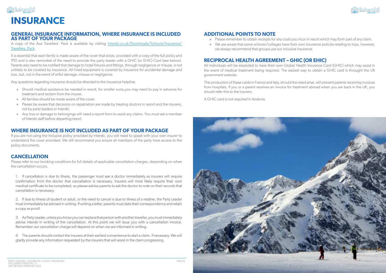![](_page_4_Picture_27.jpeg)

![](_page_4_Picture_24.jpeg)

![](_page_4_Picture_0.jpeg)

### **ADDITIONAL POINTS TO NOTE**

- » Please remember to obtain receipts for any costs you incur in resort which may form part of any claim.
- we always recommend that groups use our inclusive insurance.

» We are aware that some schools/colleges have their own insurance policies relating to trips, however,

# **RECIPROCAL HEALTH AGREEMENT – GHIC (OR EHIC)**

All individuals will be expected to have their own Global Health Insurance Card (GHIC) which may assist in the event of medical treatment being required. The easiest way to obtain a GHIC card is throught the UK government website.

The production of these cards in France and Italy, should the need arise, will prevent parents receiving invoices from hospitals. If you or a parent receives an invoice for treatment abroad when you are back in the UK, you should refer this to the insurers.

A GHIC card is not required in Andorra.

### **GENERAL INSURANCE INFORMATION, WHERE INSURANCE IS INCLUDED AS PART OF YOUR PACKAGE**

A copy of the Axa Travellers' Pack is available by visiting interski.co.uk/Downloads/Schools/Insurance/ Travellers\_Pack.

It is essential that each family is made aware of the cover that exists, provided with a copy of the full policy and IPID and is also reminded of the need to provide the party leader with a GHIC (or EHIC) Card (see below). Parents also need to be notified that damage to hotel fixtures and fittings, through negligence or misuse, is not unlikely to be covered by insurance. All hired equipment is covered by insurance for accidental damage and loss, but, not in the event of wilful damage, misuse or negligence.

Any questions regarding insurance should be directed to the insurance helpline.

- » Should medical assistance be needed in resort, for smaller sums,you may need to pay in advance for treatment and reclaim from the insurer.
- » All families should be made aware of the cover.
- » Please be aware that decisions on repatriation are made by treating doctors in resort and the insurers, not by party leaders or Interski.
- » Any loss or damage to belongings will need a report form to assist any claims. You must ask a member of Interski staff before departing resort.

### **WHERE INSURANCE IS NOT INCLUDED AS PART OF YOUR PACKAGE**

If you are not using the inclusive policy provided by Interski, you will need to speak with your own insurer to understand the cover provided. We still recommend you ensure all members of the party have access to the policy documents.

### **CANCELLATION**

Please refer to our booking conditions for full details of applicable cancellation charges, depending on when the cancellation occurs.

1. If cancellation is due to illness, the passenger must see a doctor immediately as insurers will require confirmation from the doctor that cancellation is necessary. Insurers will most likely require their own medical certificate to be completed, so please advise parents to ask the doctor to note on their records that cancellation is necessary.

2. If due to illness of student or adult, or the need to cancel is due to illness of a relative, the Party Leader must immediately be advised in writing. If writing a letter, parents must date their correspondence and retain a copy as proof.

3. As Party Leader, unless you know you can replace that person with another traveller, you must immediately advise Interski in writing of the cancellation. At this point we will issue you with a cancellation invoice. Remember our cancellation charge will depend on when we are informed in writing.

4. The parents should contact the insurers at their earliest convenience to start a claim, if necessary. We will gladly provide any information requested by the insurers that will assist in the claim progressing.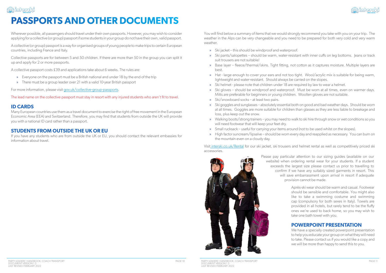PARTY LEADERS' HANDBOOK, COACH TRANSPORT DOCUMENT VERSION 1.5 LAST REVISED FEBRUARY 2022

![](_page_5_Picture_32.jpeg)

» Ski pants/salopettes – should be warm, water-resistant with inner cuffs on leg bottoms. Jeans or track

![](_page_5_Picture_0.jpeg)

# **PASSPORTS AND OTHER DOCUMENTS**

You will find below a summary of items that we would strongly recommend you take with you on your trip. The weather in the Alps can be very changeable and you need to be prepared for both very cold and very warm weather.

» Base layer – fleece/thermal/skins. Tight fitting, not cotton as it captures moisture. Multiple layers are

» Hat - large enough to cover your ears and not too tight. Wool/acrylic mix is suitable for being warm,

» Ski gloves – should be windproof and waterproof. Must be worn at all times, even on warmer days.

- » Ski jacket this should be windproof and waterproof.
- suit trousers are not suitable!
- best.
- lightweight and water-resistant. Should always be carried on the slopes.
- » Ski helmet please note that children under 18 are required by law to wear a helmet.
- Mitts are preferable for beginners or young children. Woollen gloves are not suitable.
- » Ski/snowboard socks at least two pairs.
- loss, plus keep out the snow.
- will need footwear that will keep your feet dry.
- » Small rucksack useful for carrying your items around (not to be used whilst on the slopes).
- the mountain even on a cloudy day.

» Ski goggles and sunglasses – absolutely essential both on good and bad weather days. Should be worn at all times. Goggles are more suitable for children than glasses as they are less liable to breakage and

» Walking boots/strong trainers – you may need to walk to ski hire through snow or wet conditions so you

» High factor suncream/lipsalve – should be worn every day and reapplied as necessary. You can burn on

Visit interski.co.uk/Rental for our ski jacket, ski trousers and helmet rental as well as competitively priced ski accessories.

![](_page_5_Picture_27.jpeg)

Wherever possible, all passengers should travel under their own passports. However, you may wish to consider applying for a collective (or group) passport if some students in your group do not have their own, valid passport.

> We have a specially created powerpoint presentation to help you educate your group on what they will need to take. Please contact us if you would like a copy and we will be more than happy to send this to you.

A collective (or group) passport is a way for organised groups of young people to make trips to certain European countries, including France and Italy.

Collective passports are for between 5 and 50 children. If there are more than 50 in the group you can split it up and apply for 2 or more passports.

A collective passport costs £39 and applications take about 6 weeks. The rules are:

- » Everyone on the passport must be a British national and under 18 by the end of the trip
- » There must be a group leader over 21 with a valid 10-year British passport

For more information, please visit gov.uk/collective-group-passports.

The lead name on the collective passport must stay in resort with any injured students who aren't fit to travel.

#### **ID CARDS**

Many European countries use them as a travel document to exercise the right of free movement in the European Economic Area (EEA) and Switzerland. Therefore, you may find that students from outside the UK will provide you with a national ID card rather than a passport.

### **STUDENTS FROM OUTSIDE THE UK OR EU**

If you have any students who are from outside the UK or EU, you should contact the relevant embassies for information about travel.

> Please pay particular attention to our sizing guides (available on our website) when ordering rental wear for your students. If a student exceeds the largest size please contact us prior to travelling to confirm if we have any suitably sized garments in resort. This will save embarrassment upon arrival in resort if adequate provision cannot be made.

> > Après-ski wear should be warm and casual. Footwear should be sensible and comfortable. You might also like to take a swimming costume and swimming cap (compulsory for both sexes in Italy). Towels are provided in all hotels, but rarely tend to be the fluffy ones we're used to back home, so you may wish to take one bath towel with you.

#### **POWERPOINT PRESENTATION**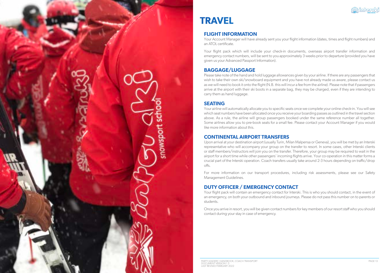![](_page_6_Picture_0.jpeg)

PARTY LEADERS' HANDBOOK, COACH TRANSPORT DOCUMENT VERSION 1.5 LAST REVISED FEBRUARY 2022

![](_page_6_Picture_16.jpeg)

# **TRAVEL**

# **FLIGHT INFORMATION**

Your Account Manager will have already sent you your flight information (dates, times and flight numbers) and an ATOL certificate.

Your flight pack which will include your check-in documents, overseas airport transfer information and emergency contact numbers, will be sent to you approximately 3 weeks prior to departure (provided you have given us your Advanced Passport Information).

# **BAGGAGE/LUGGAGE**

Please take note of the hand and hold luggage allowances given by your airline. If there are any passengers that wish to take their own ski/snowboard equipment and you have not already made us aware, please contact us as we will need to book it onto the flight (N.B. this will incur a fee from the airline). Please note that if passengers arrive at the airport with their ski boots in a separate bag, they may be charged, even if they are intending to carry them as hand luggage.

# **SEATING**

Your flight pack will contain an emergency contact for Interski. This is who you should contact, in the event of an emergency, on both your outbound and inbound journeys. Please do not pass this number on to parents or students.

Your airline will automatically allocate you to specific seats once we complete your online check-in. You will see which seat numbers have been allocated once you receive your boarding passes as outlined in the travel section above. As a rule, the airline will group passengers booked under the same reference number all together. Some airlines allow you to pre-book seats for a small fee. Please contact your Account Manager if you would like more information about this.

# **CONTINENTAL AIRPORT TRANSFERS**

Upon arrival at your destination airport (usually Turin, Milan Malpensa or Geneva), you will be met by an Interski representative who will accompany your group on the transfer to resort. In some cases, other Interski clients or staff members/instructors will join you on the transfer. Therefore, your group may be required to wait in the airport for a short time while other passengers' incoming flights arrive. Your co-operation in this matter forms a crucial part of the Interski operation. Coach transfers usually take around 2-3 hours depending on traffic/drop offs.

For more information on our transport procedures, including risk assessments, please see our Safety Management Guidelines.

# **DUTY OFFICER / EMERGENCY CONTACT**

Once you arrive in resort, you will be given contact numbers for key members of our resort staff who you should contact during your stay in case of emergency.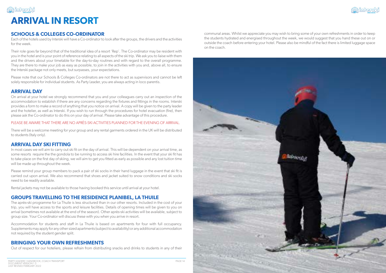![](_page_7_Picture_22.jpeg)

![](_page_7_Picture_19.jpeg)

# **ARRIVAL IN RESORT**

communal areas. Whilst we appreciate you may wish to bring some of your own refreshments in order to keep the students hydrated and energised throughout the week, we would suggest that you hand these out on or outside the coach before entering your hotel. Please also be mindful of the fact there is limited luggage space on the coach.

# **SCHOOLS & COLLEGES CO-ORDINATOR**

Each of the hotels used by Interski will have a Co-ordinator to look after the groups, the drivers and the activities for the week.

Their role goes far beyond that of the traditional idea of a resort 'Rep'. The Co-ordinator may be resident with you in the hotel and is your point of reference relating to all aspects of the ski trip. We ask you to liaise with them and the drivers about your timetable for the day-to-day routines and with regard to the overall programme. They are there to make your job as easy as possible, to join in the activities with you and, above all, to ensure the Interski package not only meets, but surpasses, your expectations.

In most cases we will aim to carry out ski fit on the day of arrival. This will be dependent on your arrival time, as some resorts require the the gondola to be running to access ski hire facilities. In the event that your ski fit has to take place on the first day of skiing, we will aim to get you fitted as early as possible and any lost tuition time will be made up throughout the week.

Please note that our Schools & Colleges Co-ordinators are not there to act as supervisors and cannot be left solely responsible for individual students. As Party Leader, you are always acting in loco parentis.

## **ARRIVAL DAY**

<u>부분 ioberski</u>

On arrival at your hotel we strongly recommend that you and your colleagues carry out an inspection of the accommodation to establish if there are any concerns regarding the fixtures and fittings in the rooms. Interski provides a form to make a record of anything that you notice on arrival. A copy will be given to the party leader and the hotelier, as well as Interski. If you wish to run through the procedures for hotel evacuation (fire), then please ask the Co-ordinator to do this on your day of arrival. Please take advantage of this procedure.

#### PLEASE BE AWARE THAT THERE ARE NO APRÈS-SKI ACTIVITIES PLANNED FOR THE EVENING OF ARRIVAL.

There will be a welcome meeting for your group and any rental garments ordered in the UK will be distributed to students (Italy only).

# **ARRIVAL DAY SKI FITTING**

Please remind your group members to pack a pair of ski socks in their hand luggage in the event that ski fit is carried out upon arrival. We also recommend that shoes and jacket suited to snow conditions and ski socks need to be readily available.

Rental jackets may not be available to those having booked this service until arrival at your hotel.

# **GROUPS TRAVELLING TO THE RESIDENCE PLANIBEL, LA THUILE**

The après-ski programme for La Thuile is less structured than in our other resorts. Included in the cost of your trip, you will have access to the sports and leisure facilities. Details of opening times will be given to you on arrival (sometimes not available at the end of the season). Other après-ski activities will be available, subject to group size. Your Co-ordinator will discuss these with you when you arrive in resort.

Accommodation for students and staff in La Thuile is based on apartments for four with full occupancy. Supplements may apply for any other sized apartments (subject to availability) or any additional accommodation not required by the student gender split.

# **BRINGING YOUR OWN REFRESHMENTS**

Out of respect for our hoteliers, please refrain from distributing snacks and drinks to students in any of their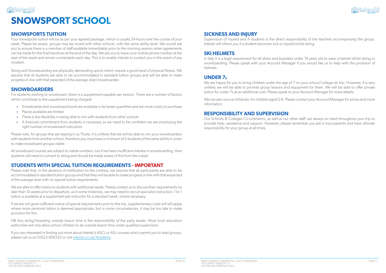# 부<sup>사</sup>수 ioherski **SNOWSPORT SCHOOL**

![](_page_8_Picture_30.jpeg)

## **SICKNESS AND INJURY**

Supervision of injured and ill students is the direct responsibility of the teachers accompanying the group. Interski will inform you if a student becomes sick or injured whilst skiing.

### **SKI HELMETS**

We are happy for you to bring children under the age of 7 on your school/college ski trip. However, it is very unlikely we will be able to provide group lessons and equipment for them. We will be able to offer private tuition for under 7s at an additional cost. Please speak to your Account Manager for more details.

In Italy it is a legal requirement for all skiers and boarders under 18 years old to wear a helmet whilst skiing or snowboarding. Please speak with your Account Manager if you would like us to help with the provision of helmets.

### **UNDER 7s**

We can also source childcare, for children aged 2-6. Please contact your Account Manager for prices and more information.

# **RESPONSIBILITY AND SUPERVISION**

Our Schools & Colleges Co-ordinators, as well as our other staff, are always on hand throughout your trip to provide help, assistance and support. However, please remember you are in loco-parentis and have ultimate responsibility for your group at all times.

# **SNOWSPORTS TUITION**

Your snowsports tuition will be as per your agreed package, which is usually 24 hours over the course of your week. Please be aware, groups may be mixed with other schools, with the same ability level. We would ask you to ensure there is a member of staff available immediately prior to the morning session when agreements can be made for the final handover at the end of the day. We ask you to leave your mobile phone number at the start of the week and remain contactable each day. This is to enable Interski to contact you in the event of any incident.

Skiing and Snowboarding are physically demanding sports which require a good level of physical fitness. We assume that all students are able to be accommodated in standard tuition groups and will be able to make progress in line with that expected of the average skier/snowboarder.

### **SNOWBOARDERS**

For students wishing to snowboard, there is a supplement payable per person. There are a number of factors which contribute to the supplement being charged:

- » Snowboards and snowboard boots are available in far lesser quantities and are more costly to purchase
- » Places available are limited
- » There is less flexibility in being able to mix with students from other schools
- » A financial commitment from students is necessary as we need to be confident we are employing the right number of snowboard instructors

Please note, for groups that are staying in La Thuile, it is unlikely that we will be able to mix your snowboarders with students from another school, therefore you must have a minimum of 5 students of the same ability in order to make snowboard groups viable.

All snowboard courses are subject to viable numbers, but if we have insufficient interest in snowboarding, then students will need to convert to skiing and should be made aware of this from the outset.

# **STUDENTS WITH SPECIAL TUITION REQUIREMENTS - IMPORTANT**

Please note that, in the absence of notification to the contrary, we assume that all participants are able to be accommodated in standard tuition groups and that they will be able to make progress in line with that expected of the average skier with no special tuition requirements.

We are able to offer tuition to students with additional needs. Please contact us to discuss their requirements no later than 10 weeks prior to departure, as in some instances, we may need to recruit specialist instructors. 1 to 1 tuition is available at a supplement per instructor for a standard week, where necessary.

If we are not given sufficient notice of special requirements prior to the trip, supplementary costs will still apply where more personal tuition is deemed appropriate, but in some circumstances, it may be too late to make provision for this.

NB Any skiing/boarding outside lesson time is the responsibility of the party leader. Most local education authorities will only allow school children to ski outside lesson time under qualified supervision.

If you are interested in finding out more about Interski's ASCL or ASL courses which permit you to lead groups, please call us on 01623 456333 or visit interski.co.uk/Academy.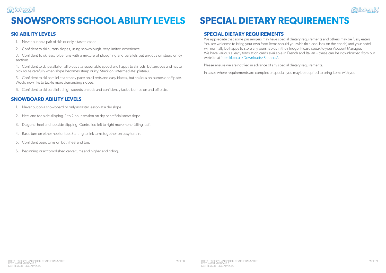![](_page_9_Picture_24.jpeg)

![](_page_9_Picture_0.jpeg)

# **SNOWSPORTS SCHOOL ABILITY LEVELS SPECIAL DIETARY REQUIREMENTS**

# **SKI ABILITY LEVELS**

- 1. Never put on a pair of skis or only a taster lesson.
- 2. Confident to ski nursery slopes, using snowplough. Very limited experience.

3. Confident to ski easy blue runs with a mixture of ploughing and parallels but anxious on steep or icy sections.

4. Confident to ski parallel on all blues at a reasonable speed and happy to ski reds, but anxious and has to pick route carefully when slope becomes steep or icy. Stuck on 'intermediate' plateau.

5. Confident to ski parallel at a steady pace on all reds and easy blacks, but anxious on bumps or off piste. Would now like to tackle more demanding slopes.

6. Confident to ski parallel at high speeds on reds and confidently tackle bumps on and off piste.

We appreciate that some passengers may have special dietary requirements and others may be fussy eaters. You are welcome to bring your own food items should you wish (in a cool box on the coach) and your hotel will normally be happy to store any perishables in their fridge. Please speak to your Account Manager. We have various allergy translation cards available in French and Italian – these can be downloaded from our website at interski.co.uk/Downloads/Schools/.

# **SNOWBOARD ABILITY LEVELS**

- 1. Never put on a snowboard or only as taster lesson at a dry slope.
- 2. Heel and toe side slipping. 1 to 2 hour session on dry or artificial snow slope.
- 3. Diagonal heel and toe side slipping. Controlled left to right movement (falling leaf).
- 4. Basic turn on either heel or toe. Starting to link turns together on easy terrain.
- 5. Confident basic turns on both heel and toe.
- 6. Beginning or accomplished carve turns and higher end riding.

# **SPECIAL DIETARY REQUIREMENTS**

Please ensure we are notified in advance of any special dietary requirements.

In cases where requirements are complex or special, you may be required to bring items with you.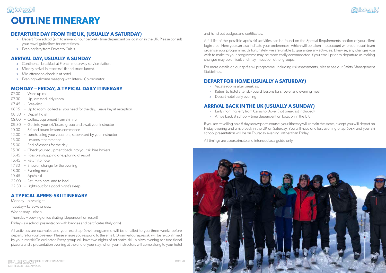![](_page_10_Picture_47.jpeg)

# <u>부</u>각 inhersk **OUTLINE ITINERARY**

![](_page_10_Picture_44.jpeg)

and hand out badges and certificates.

A full list of the possible après-ski activities can be found on the Special Requirements section of your client login area. Here you can also indicate your preferences, which will be taken into account when our resort team organise your programme. Unfortunately, we are unable to guarantee any activities. Likewise, any changes you wish to make to your programme may be more easily accomodated if you email prior to departure as making changes may be difficult and may impact on other groups.

For more details on our après-ski programme, including risk assessments, please see our Safety Management Guidelines.

## **DEPART FOR HOME (USUALLY A SATURDAY)**

- » Vacate rooms after breakfast
- » Return to hotel after ski/board lessons for shower and evening meal
- » Depart hotel early evening

# **ARRIVAL BACK IN THE UK (USUALLY A SUNDAY)**

- » Early morning ferry from Calais to Dover (hot breakfast included)
- » Arrive back at school time dependent on location in the UK

If you are travelling on a 5 day snowsports course, your itinerary will remain the same, except you will depart on Friday evening and arrive back in the UK on Saturday. You will have one less evening of après-ski and your ski school presentation will be on Thursday evening, rather than Friday.

All timings are approximate and intended as a guide only.

# **DEPARTURE DAY FROM THE UK, (USUALLY A SATURDAY)**

- » Depart from school (aim to arrive ½ hour before) time dependant on location in the UK. Please consult your travel guidelines for exact times.
- » Evening ferry from Dover to Calais.

# **ARRIVAL DAY, USUALLY A SUNDAY**

- » Continental breakfast at French motorway service station.
- » Midday arrival in resort (ski fit and snack lunch).
- » Mid-afternoon check in at hotel.
- » Evening welcome meeting with Interski Co-ordinator.

# **MONDAY – FRIDAY, A TYPICAL DAILY ITINERARY**

- 07.00 Wake up call
- 07.30 Up, dressed, tidy room
- 07.45 Breakfast
- 08.15 Up to room, collect all you need for the day. Leave key at reception
- 08.30 Depart hotel
- 09.00 Collect equipment from ski hire
- 09.30 Get into your ski/board group and await your instructor
- 10.00 Ski and board lessons commence
- 12.00 Lunch, using your vouchers, supervised by your instructor
- 13.00 Lessons recommence
- 15.00 End of lessons for the day
- 15.30 Check your equipment back into your ski hire lockers
- 15.45 Possible shopping or exploring of resort
- 16.45 Return to hotel
- 17.30 Shower, change for the evening
- 18.30 Evening meal
- 19.45 Après-ski
- 22.00 Return to hotel and to bed
- 22.30 Lights out for a good night's sleep

# **A TYPICAL APRES-SKI ITINERARY**

Monday – pizza night Tuesday – karaoke or quiz Wednesday – disco Thursday – bowling or ice skating (dependent on resort) Friday – ski school presentation with badges and certificates (Italy only)

All activities are examples and your exact après-ski programme will be emailed to you three weeks before departure for you to review. Please ensure you respond to the email. On arrival our après ski will be re-confirmed by your Interski Co-ordinator. Every group will have two nights of set après-ski – a pizza evening at a traditional pizzeria and a presentation evening at the end of your stay, when your instructors will come along to your hotel